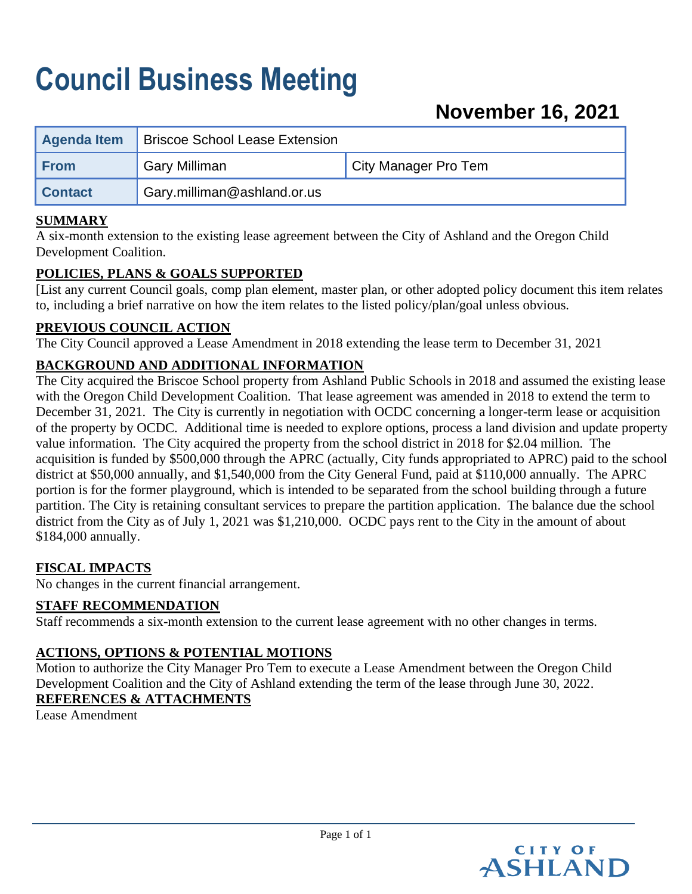# **Council Business Meeting**

| <b>Agenda Item</b> | <b>Briscoe School Lease Extension</b> |                      |
|--------------------|---------------------------------------|----------------------|
| <b>From</b>        | <b>Gary Milliman</b>                  | City Manager Pro Tem |
| <b>Contact</b>     | Gary.milliman@ashland.or.us           |                      |

#### **SUMMARY**

A six-month extension to the existing lease agreement between the City of Ashland and the Oregon Child Development Coalition.

#### **POLICIES, PLANS & GOALS SUPPORTED**

[List any current Council goals, comp plan element, master plan, or other adopted policy document this item relates to, including a brief narrative on how the item relates to the listed policy/plan/goal unless obvious.

#### **PREVIOUS COUNCIL ACTION**

The City Council approved a Lease Amendment in 2018 extending the lease term to December 31, 2021

### **BACKGROUND AND ADDITIONAL INFORMATION**

The City acquired the Briscoe School property from Ashland Public Schools in 2018 and assumed the existing lease with the Oregon Child Development Coalition. That lease agreement was amended in 2018 to extend the term to December 31, 2021. The City is currently in negotiation with OCDC concerning a longer-term lease or acquisition of the property by OCDC. Additional time is needed to explore options, process a land division and update property value information. The City acquired the property from the school district in 2018 for \$2.04 million. The acquisition is funded by \$500,000 through the APRC (actually, City funds appropriated to APRC) paid to the school district at \$50,000 annually, and \$1,540,000 from the City General Fund, paid at \$110,000 annually. The APRC portion is for the former playground, which is intended to be separated from the school building through a future partition. The City is retaining consultant services to prepare the partition application. The balance due the school district from the City as of July 1, 2021 was \$1,210,000. OCDC pays rent to the City in the amount of about \$184,000 annually.

#### **FISCAL IMPACTS**

No changes in the current financial arrangement.

#### **STAFF RECOMMENDATION**

Staff recommends a six-month extension to the current lease agreement with no other changes in terms.

#### **ACTIONS, OPTIONS & POTENTIAL MOTIONS**

Motion to authorize the City Manager Pro Tem to execute a Lease Amendment between the Oregon Child Development Coalition and the City of Ashland extending the term of the lease through June 30, 2022. **REFERENCES & ATTACHMENTS**

Lease Amendment

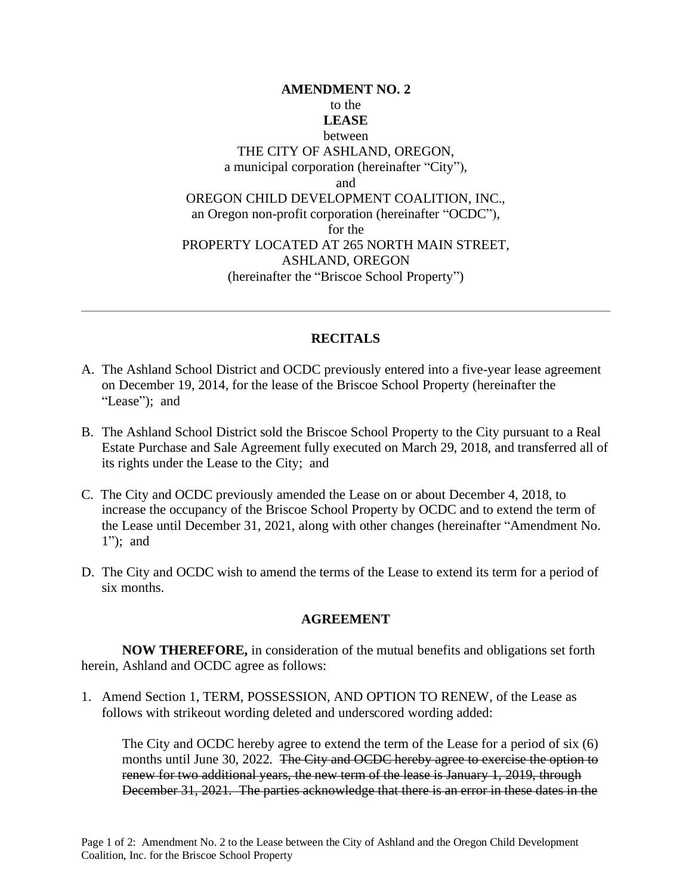#### **AMENDMENT NO. 2** to the **LEASE**  between THE CITY OF ASHLAND, OREGON, a municipal corporation (hereinafter "City"), and OREGON CHILD DEVELOPMENT COALITION, INC., an Oregon non-profit corporation (hereinafter "OCDC"), for the PROPERTY LOCATED AT 265 NORTH MAIN STREET, ASHLAND, OREGON (hereinafter the "Briscoe School Property")

#### **RECITALS**

- A. The Ashland School District and OCDC previously entered into a five-year lease agreement on December 19, 2014, for the lease of the Briscoe School Property (hereinafter the "Lease"); and
- B. The Ashland School District sold the Briscoe School Property to the City pursuant to a Real Estate Purchase and Sale Agreement fully executed on March 29, 2018, and transferred all of its rights under the Lease to the City; and
- C. The City and OCDC previously amended the Lease on or about December 4, 2018, to increase the occupancy of the Briscoe School Property by OCDC and to extend the term of the Lease until December 31, 2021, along with other changes (hereinafter "Amendment No. 1"); and
- D. The City and OCDC wish to amend the terms of the Lease to extend its term for a period of six months.

#### **AGREEMENT**

**NOW THEREFORE,** in consideration of the mutual benefits and obligations set forth herein, Ashland and OCDC agree as follows:

1. Amend Section 1, TERM, POSSESSION, AND OPTION TO RENEW, of the Lease as follows with strikeout wording deleted and underscored wording added:

The City and OCDC hereby agree to extend the term of the Lease for a period of six (6) months until June 30, 2022. The City and OCDC hereby agree to exercise the option to renew for two additional years, the new term of the lease is January 1, 2019, through December 31, 2021. The parties acknowledge that there is an error in these dates in the